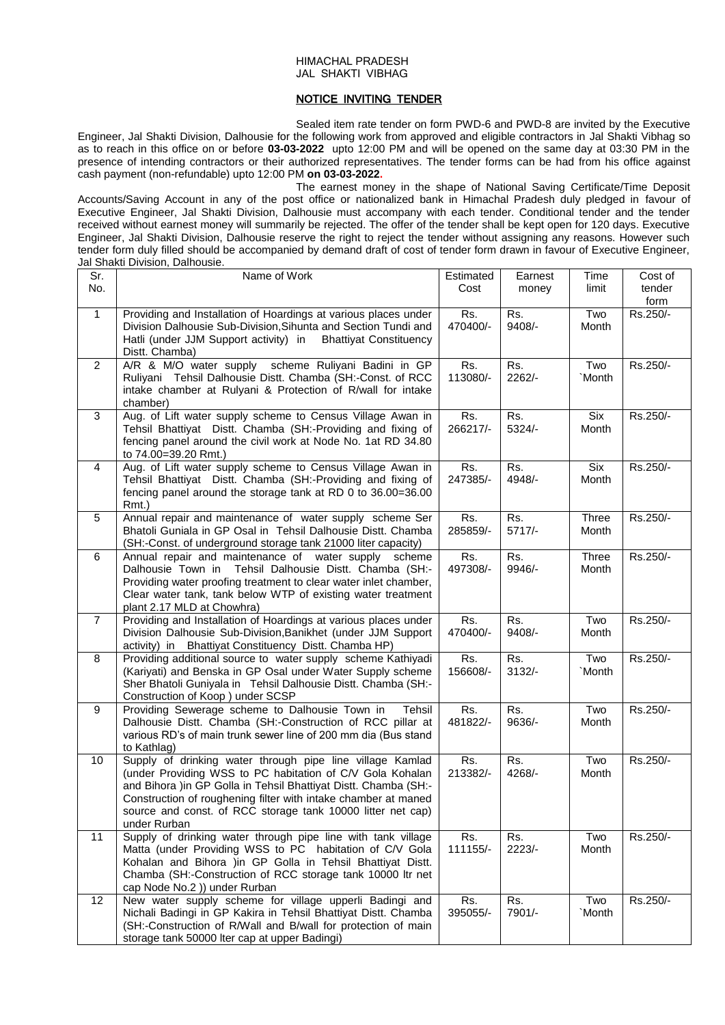#### HIMACHAL PRADESH JAL SHAKTI VIBHAG

## NOTICE INVITING TENDER

Sealed item rate tender on form PWD-6 and PWD-8 are invited by the Executive Engineer, Jal Shakti Division, Dalhousie for the following work from approved and eligible contractors in Jal Shakti Vibhag so as to reach in this office on or before **03-03-2022** upto 12:00 PM and will be opened on the same day at 03:30 PM in the presence of intending contractors or their authorized representatives. The tender forms can be had from his office against cash payment (non-refundable) upto 12:00 PM **on 03-03-2022.**

The earnest money in the shape of National Saving Certificate/Time Deposit Accounts/Saving Account in any of the post office or nationalized bank in Himachal Pradesh duly pledged in favour of Executive Engineer, Jal Shakti Division, Dalhousie must accompany with each tender. Conditional tender and the tender received without earnest money will summarily be rejected. The offer of the tender shall be kept open for 120 days. Executive Engineer, Jal Shakti Division, Dalhousie reserve the right to reject the tender without assigning any reasons. However such tender form duly filled should be accompanied by demand draft of cost of tender form drawn in favour of Executive Engineer, Jal Shakti Division, Dalhousie.

| Sr.<br>No.     | Name of Work                                                                                                                                                                                                                                                                                                                               | Estimated<br>Cost | Earnest<br>money | Time<br>limit  | Cost of<br>tender<br>form |
|----------------|--------------------------------------------------------------------------------------------------------------------------------------------------------------------------------------------------------------------------------------------------------------------------------------------------------------------------------------------|-------------------|------------------|----------------|---------------------------|
| $\mathbf{1}$   | Providing and Installation of Hoardings at various places under<br>Division Dalhousie Sub-Division, Sihunta and Section Tundi and<br>Hatli (under JJM Support activity) in<br><b>Bhattiyat Constituency</b><br>Distt. Chamba)                                                                                                              | Rs.<br>470400/-   | Rs.<br>$9408/-$  | Two<br>Month   | Rs.250/-                  |
| $\overline{2}$ | A/R & M/O water supply scheme Ruliyani Badini in GP<br>Ruliyani Tehsil Dalhousie Distt. Chamba (SH:-Const. of RCC<br>intake chamber at Rulyani & Protection of R/wall for intake<br>chamber)                                                                                                                                               | Rs.<br>113080/-   | Rs.<br>$2262/-$  | Two<br>`Month  | Rs.250/-                  |
| 3              | Aug. of Lift water supply scheme to Census Village Awan in<br>Tehsil Bhattiyat Distt. Chamba (SH:-Providing and fixing of<br>fencing panel around the civil work at Node No. 1at RD 34.80<br>to 74.00=39.20 Rmt.)                                                                                                                          | Rs.<br>266217/-   | Rs.<br>$5324/-$  | Six<br>Month   | Rs.250/-                  |
| $\overline{4}$ | Aug. of Lift water supply scheme to Census Village Awan in<br>Tehsil Bhattiyat Distt. Chamba (SH:-Providing and fixing of<br>fencing panel around the storage tank at RD 0 to 36.00=36.00<br>Rmt.)                                                                                                                                         | Rs.<br>247385/-   | Rs.<br>4948/-    | Six<br>Month   | Rs.250/-                  |
| 5              | Annual repair and maintenance of water supply scheme Ser<br>Bhatoli Guniala in GP Osal in Tehsil Dalhousie Distt. Chamba<br>(SH:-Const. of underground storage tank 21000 liter capacity)                                                                                                                                                  | Rs.<br>285859/-   | Rs.<br>$5717/-$  | Three<br>Month | Rs.250/-                  |
| 6              | Annual repair and maintenance of water supply scheme<br>Dalhousie Town in Tehsil Dalhousie Distt. Chamba (SH:-<br>Providing water proofing treatment to clear water inlet chamber,<br>Clear water tank, tank below WTP of existing water treatment<br>plant 2.17 MLD at Chowhra)                                                           | Rs.<br>497308/-   | Rs.<br>9946/-    | Three<br>Month | Rs.250/-                  |
| $\overline{7}$ | Providing and Installation of Hoardings at various places under<br>Division Dalhousie Sub-Division, Banikhet (under JJM Support<br>activity) in Bhattiyat Constituency Distt. Chamba HP)                                                                                                                                                   | Rs.<br>470400/-   | Rs.<br>9408/-    | Two<br>Month   | Rs.250/-                  |
| 8              | Providing additional source to water supply scheme Kathiyadi<br>(Kariyati) and Benska in GP Osal under Water Supply scheme<br>Sher Bhatoli Guniyala in Tehsil Dalhousie Distt. Chamba (SH:-<br>Construction of Koop) under SCSP                                                                                                            | Rs.<br>156608/-   | Rs.<br>$3132/-$  | Two<br>`Month  | Rs.250/-                  |
| 9              | Providing Sewerage scheme to Dalhousie Town in<br><b>Tehsil</b><br>Dalhousie Distt. Chamba (SH:-Construction of RCC pillar at<br>various RD's of main trunk sewer line of 200 mm dia (Bus stand<br>to Kathlag)                                                                                                                             | Rs.<br>481822/-   | Rs.<br>9636/-    | Two<br>Month   | Rs.250/-                  |
| 10             | Supply of drinking water through pipe line village Kamlad<br>(under Providing WSS to PC habitation of C/V Gola Kohalan<br>and Bihora )in GP Golla in Tehsil Bhattiyat Distt. Chamba (SH:-<br>Construction of roughening filter with intake chamber at maned<br>source and const. of RCC storage tank 10000 litter net cap)<br>under Rurban | Rs.<br>213382/-   | Rs.<br>4268/-    | Two<br>Month   | Rs.250/-                  |
| 11             | Supply of drinking water through pipe line with tank village<br>Matta (under Providing WSS to PC habitation of C/V Gola<br>Kohalan and Bihora )in GP Golla in Tehsil Bhattiyat Distt.<br>Chamba (SH:-Construction of RCC storage tank 10000 ltr net<br>cap Node No.2 )) under Rurban                                                       | Rs.<br>111155/-   | Rs.<br>2223/-    | Two<br>Month   | Rs.250/-                  |
| 12             | New water supply scheme for village upperli Badingi and<br>Nichali Badingi in GP Kakira in Tehsil Bhattiyat Distt. Chamba<br>(SH:-Construction of R/Wall and B/wall for protection of main<br>storage tank 50000 Iter cap at upper Badingi)                                                                                                | Rs.<br>395055/-   | Rs.<br>7901/-    | Two<br>`Month  | Rs.250/-                  |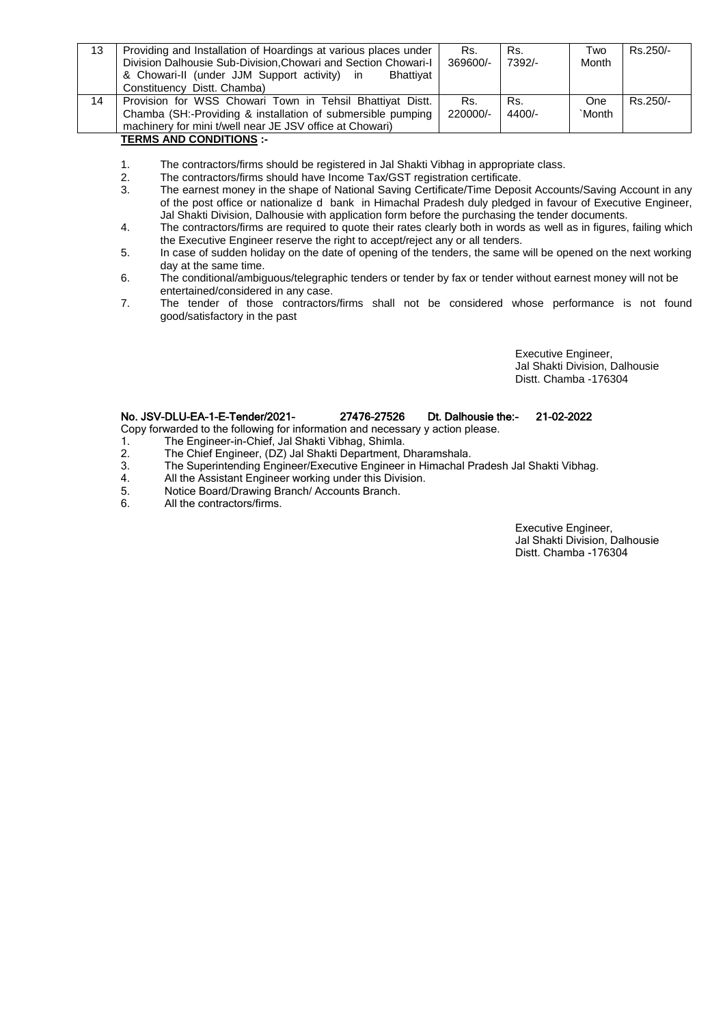| 13 | Providing and Installation of Hoardings at various places under | Rs.      | Rs.      | Two    | Rs.250/- |
|----|-----------------------------------------------------------------|----------|----------|--------|----------|
|    | Division Dalhousie Sub-Division, Chowari and Section Chowari-I  | 369600/- | 7392/-   | Month  |          |
|    | & Chowari-II (under JJM Support activity) in<br>Bhattivat       |          |          |        |          |
|    | Constituency Distt. Chamba)                                     |          |          |        |          |
| 14 | Provision for WSS Chowari Town in Tehsil Bhattiyat Distt.       | Rs.      | Rs.      | One    | Rs.250/- |
|    | Chamba (SH:-Providing & installation of submersible pumping     | 220000/- | $4400/-$ | `Month |          |
|    | machinery for mini t/well near JE JSV office at Chowari)        |          |          |        |          |

# **TERMS AND CONDITIONS :-**

- 1. The contractors/firms should be registered in Jal Shakti Vibhag in appropriate class.
- 2. The contractors/firms should have Income Tax/GST registration certificate.<br>3. The earnest money in the shape of National Saving Certificate/Time Deport
- The earnest money in the shape of National Saving Certificate/Time Deposit Accounts/Saving Account in any of the post office or nationalize d bank in Himachal Pradesh duly pledged in favour of Executive Engineer, Jal Shakti Division, Dalhousie with application form before the purchasing the tender documents.
- 4. The contractors/firms are required to quote their rates clearly both in words as well as in figures, failing which the Executive Engineer reserve the right to accept/reject any or all tenders.
- 5. In case of sudden holiday on the date of opening of the tenders, the same will be opened on the next working day at the same time.
- 6. The conditional/ambiguous/telegraphic tenders or tender by fax or tender without earnest money will not be entertained/considered in any case.
- 7. The tender of those contractors/firms shall not be considered whose performance is not found good/satisfactory in the past

Executive Engineer, Jal Shakti Division, Dalhousie Distt. Chamba -176304

# No. JSV-DLU-EA-1-E-Tender/2021- 27476-27526 Dt. Dalhousie the:- 21-02-2022

- Copy forwarded to the following for information and necessary y action please.
- 1. The Engineer-in-Chief, Jal Shakti Vibhag, Shimla.
- 2. The Chief Engineer, (DZ) Jal Shakti Department, Dharamshala.<br>3. The Superintending Engineer/Executive Engineer in Himachal F
- 3. The Superintending Engineer/Executive Engineer in Himachal Pradesh Jal Shakti Vibhag.<br>4. All the Assistant Engineer working under this Division.
- 4. All the Assistant Engineer working under this Division.<br>5. Notice Board/Drawing Branch/Accounts Branch.
- 5. Notice Board/Drawing Branch/ Accounts Branch.<br>6. All the contractors/firms.
- All the contractors/firms.

Executive Engineer, Jal Shakti Division, Dalhousie Distt. Chamba -176304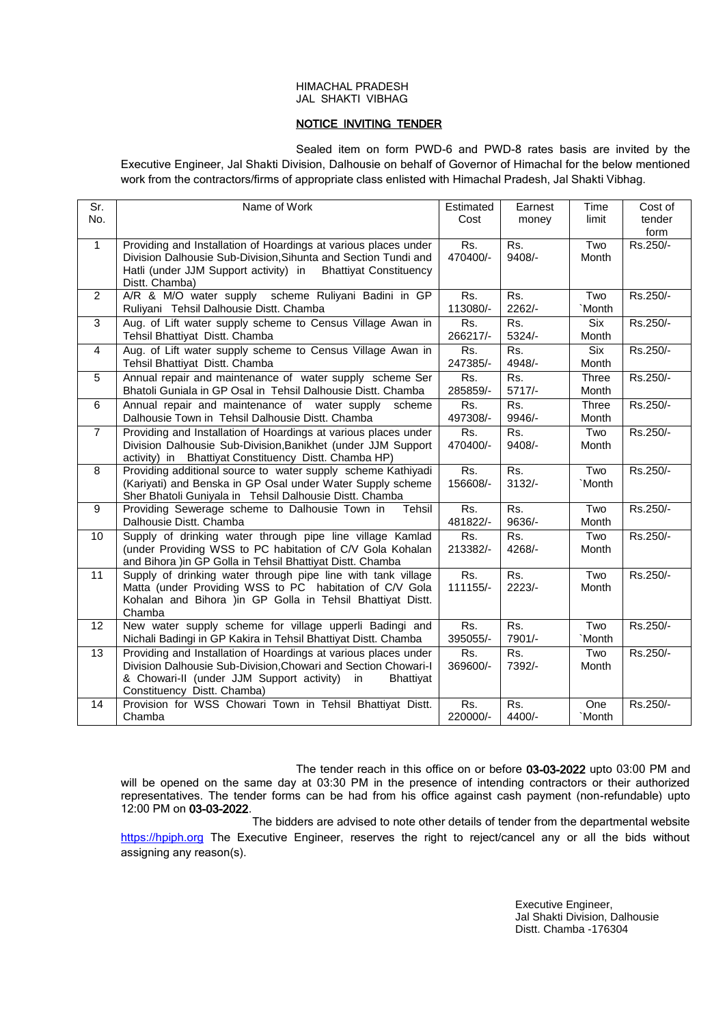### HIMACHAL PRADESH JAL SHAKTI VIBHAG

# NOTICE INVITING TENDER

Sealed item on form PWD-6 and PWD-8 rates basis are invited by the Executive Engineer, Jal Shakti Division, Dalhousie on behalf of Governor of Himachal for the below mentioned work from the contractors/firms of appropriate class enlisted with Himachal Pradesh, Jal Shakti Vibhag.

| $\overline{\text{Sr}}$ | Name of Work                                                           | Estimated                 | Earnest                 | Time         | Cost of  |
|------------------------|------------------------------------------------------------------------|---------------------------|-------------------------|--------------|----------|
| No.                    |                                                                        | Cost                      | money                   | limit        | tender   |
|                        |                                                                        |                           |                         |              | form     |
| $\mathbf{1}$           | Providing and Installation of Hoardings at various places under        | Rs.                       | Rs.                     | Two          | Rs.250/- |
|                        | Division Dalhousie Sub-Division, Sihunta and Section Tundi and         | 470400/-                  | $9408/-$                | Month        |          |
|                        | Hatli (under JJM Support activity) in<br><b>Bhattiyat Constituency</b> |                           |                         |              |          |
|                        | Distt. Chamba)                                                         |                           |                         |              |          |
| 2                      | A/R & M/O water supply scheme Ruliyani Badini in GP                    | Rs.                       | Rs.                     | Two          | Rs.250/- |
|                        | Ruliyani Tehsil Dalhousie Distt. Chamba                                | 113080/-                  | $2262/-$                | `Month       |          |
| 3                      | Aug. of Lift water supply scheme to Census Village Awan in             | Rs.                       | $\overline{\text{Rs.}}$ | Six          | Rs.250/- |
|                        | Tehsil Bhattiyat Distt. Chamba                                         | 266217/-                  | 5324/-                  | Month        |          |
| $\overline{4}$         | Aug. of Lift water supply scheme to Census Village Awan in             | Rs.                       | Rs.                     | Six          | Rs.250/- |
|                        | Tehsil Bhattiyat Distt. Chamba                                         | 247385/-                  | 4948/-                  | Month        |          |
| 5                      | Annual repair and maintenance of water supply scheme Ser               | Rs.                       | Rs.                     | Three        | Rs.250/- |
|                        | Bhatoli Guniala in GP Osal in Tehsil Dalhousie Distt. Chamba           | 285859/-                  | $5717/-$                | Month        |          |
| 6                      | Annual repair and maintenance of water supply<br>scheme                | Rs.                       | Rs.                     | <b>Three</b> | Rs.250/- |
|                        | Dalhousie Town in Tehsil Dalhousie Distt. Chamba                       | 497308/-                  | 9946/-                  | Month        |          |
| $\overline{7}$         | Providing and Installation of Hoardings at various places under        | Rs.                       | Rs.                     | Two          | Rs.250/- |
|                        | Division Dalhousie Sub-Division, Banikhet (under JJM Support           | 470400/-                  | 9408/-                  | Month        |          |
|                        | activity) in Bhattiyat Constituency Distt. Chamba HP)                  |                           |                         |              |          |
| 8                      | Providing additional source to water supply scheme Kathiyadi           | Rs.                       | $\overline{\text{Rs.}}$ | Two          | Rs.250/- |
|                        | (Kariyati) and Benska in GP Osal under Water Supply scheme             | 156608/-                  | $3132/-$                | `Month       |          |
|                        | Sher Bhatoli Guniyala in Tehsil Dalhousie Distt. Chamba                |                           |                         |              |          |
| 9                      | Providing Sewerage scheme to Dalhousie Town in<br>Tehsil               | Rs.                       | Rs.                     | Two          | Rs.250/- |
|                        | Dalhousie Distt. Chamba                                                | 481822/-                  | 9636/-                  | Month        |          |
| 10                     | Supply of drinking water through pipe line village Kamlad              | Rs.                       | Rs.                     | Two          | Rs.250/- |
|                        | (under Providing WSS to PC habitation of C/V Gola Kohalan              | 213382/-                  | 4268/-                  | Month        |          |
|                        | and Bihora )in GP Golla in Tehsil Bhattiyat Distt. Chamba              |                           |                         |              |          |
| 11                     | Supply of drinking water through pipe line with tank village           | Rs.                       | Rs.                     | Two          | Rs.250/- |
|                        | Matta (under Providing WSS to PC habitation of C/V Gola                | 111155/-                  | $2223/-$                | Month        |          |
|                        | Kohalan and Bihora )in GP Golla in Tehsil Bhattiyat Distt.             |                           |                         |              |          |
|                        | Chamba                                                                 |                           |                         |              |          |
| 12                     | New water supply scheme for village upperli Badingi and                | $\overline{\mathsf{Rs.}}$ | $\overline{\text{Rs.}}$ | Two          | Rs.250/- |
|                        | Nichali Badingi in GP Kakira in Tehsil Bhattiyat Distt. Chamba         | 395055/-                  | 7901/-                  | `Month       |          |
| 13                     | Providing and Installation of Hoardings at various places under        | Rs.                       | Rs.                     | Two          | Rs.250/- |
|                        | Division Dalhousie Sub-Division, Chowari and Section Chowari-I         | 369600/-                  | 7392/-                  | Month        |          |
|                        | & Chowari-II (under JJM Support activity)<br><b>Bhattivat</b><br>in.   |                           |                         |              |          |
|                        | Constituency Distt. Chamba)                                            |                           |                         |              |          |
| 14                     | Provision for WSS Chowari Town in Tehsil Bhattiyat Distt.              | Rs.                       | Rs.                     | One          | Rs.250/- |
|                        | Chamba                                                                 | 220000/-                  | 4400/-                  | `Month       |          |

The tender reach in this office on or before 03-03-2022 upto 03:00 PM and will be opened on the same day at 03:30 PM in the presence of intending contractors or their authorized representatives. The tender forms can be had from his office against cash payment (non-refundable) upto 12:00 PM on 03-03-2022.

 The bidders are advised to note other details of tender from the departmental website [https://hpiph.org](https://hptenders.gov.in/) The Executive Engineer, reserves the right to reject/cancel any or all the bids without assigning any reason(s).

> Executive Engineer, Jal Shakti Division, Dalhousie Distt. Chamba -176304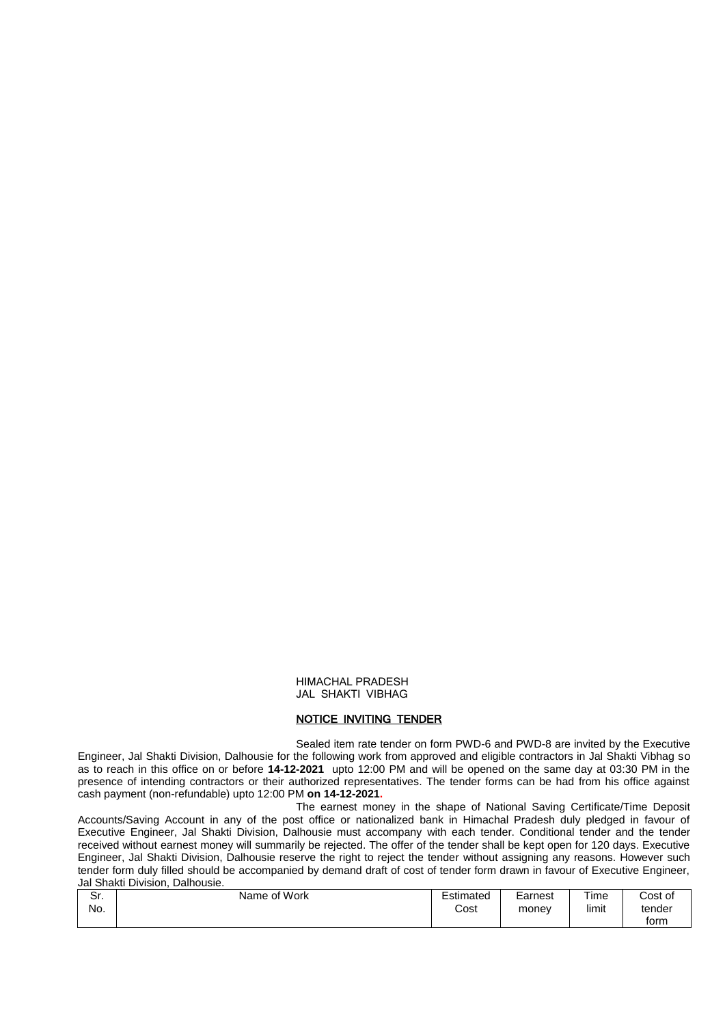#### HIMACHAL PRADESH JAL SHAKTI VIBHAG

## NOTICE INVITING TENDER

Sealed item rate tender on form PWD-6 and PWD-8 are invited by the Executive Engineer, Jal Shakti Division, Dalhousie for the following work from approved and eligible contractors in Jal Shakti Vibhag so as to reach in this office on or before **14-12-2021** upto 12:00 PM and will be opened on the same day at 03:30 PM in the presence of intending contractors or their authorized representatives. The tender forms can be had from his office against cash payment (non-refundable) upto 12:00 PM **on 14-12-2021.**

The earnest money in the shape of National Saving Certificate/Time Deposit Accounts/Saving Account in any of the post office or nationalized bank in Himachal Pradesh duly pledged in favour of Executive Engineer, Jal Shakti Division, Dalhousie must accompany with each tender. Conditional tender and the tender received without earnest money will summarily be rejected. The offer of the tender shall be kept open for 120 days. Executive Engineer, Jal Shakti Division, Dalhousie reserve the right to reject the tender without assigning any reasons. However such tender form duly filled should be accompanied by demand draft of cost of tender form drawn in favour of Executive Engineer, Jal Shakti Division, Dalhousie.

| <u>ີ</u><br>οι.<br>No. | Name of Work | Estimated<br>Cost | Earnest<br>money | Time<br>$\cdots$<br>limit | Cost of<br>tender |
|------------------------|--------------|-------------------|------------------|---------------------------|-------------------|
|                        |              |                   |                  |                           | form              |